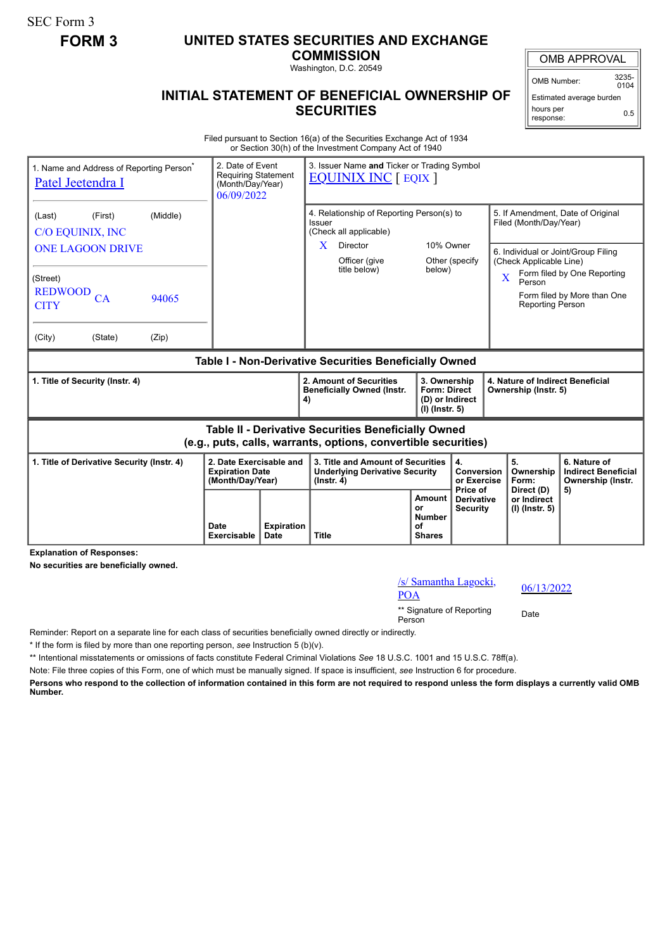SEC Form 3

## **FORM 3 UNITED STATES SECURITIES AND EXCHANGE**

**COMMISSION** Washington, D.C. 20549

#### **INITIAL STATEMENT OF BENEFICIAL OWNERSHIP OF SECURITIES**

OMB APPROVAL OMB Number: 3235-

 $0104$ Estimated average burden

0.5

hours per response:

Filed pursuant to Section 16(a) of the Securities Exchange Act of 1934 or Section 30(h) of the Investment Company Act of 1940

| 1. Name and Address of Reporting Person <sup>®</sup><br>Patel Jeetendra I | 2. Date of Event<br><b>Requiring Statement</b><br>(Month/Day/Year)<br>06/09/2022 |  | 3. Issuer Name and Ticker or Trading Symbol<br><b>EQUINIX INC</b> [ EQIX ]                                                   |                                                                            |                                             |                                                                |                                                                       |  |
|---------------------------------------------------------------------------|----------------------------------------------------------------------------------|--|------------------------------------------------------------------------------------------------------------------------------|----------------------------------------------------------------------------|---------------------------------------------|----------------------------------------------------------------|-----------------------------------------------------------------------|--|
| (Middle)<br>(First)<br>(Last)<br>C/O EQUINIX, INC                         |                                                                                  |  | 4. Relationship of Reporting Person(s) to<br>Issuer<br>(Check all applicable)                                                |                                                                            |                                             | 5. If Amendment, Date of Original<br>Filed (Month/Day/Year)    |                                                                       |  |
| <b>ONE LAGOON DRIVE</b>                                                   |                                                                                  |  | Director<br>X.<br>Officer (give                                                                                              | 10% Owner<br>Other (specify                                                |                                             | 6. Individual or Joint/Group Filing<br>(Check Applicable Line) |                                                                       |  |
| (Street)<br><b>REDWOOD</b><br>CA<br>94065                                 |                                                                                  |  | title below)                                                                                                                 | below)                                                                     |                                             | $\overline{\mathbf{X}}$<br>Person                              | Form filed by One Reporting<br>Form filed by More than One            |  |
| <b>CITY</b>                                                               |                                                                                  |  |                                                                                                                              |                                                                            |                                             | <b>Reporting Person</b>                                        |                                                                       |  |
| (City)<br>(State)<br>(Zip)                                                |                                                                                  |  |                                                                                                                              |                                                                            |                                             |                                                                |                                                                       |  |
| Table I - Non-Derivative Securities Beneficially Owned                    |                                                                                  |  |                                                                                                                              |                                                                            |                                             |                                                                |                                                                       |  |
|                                                                           |                                                                                  |  |                                                                                                                              |                                                                            |                                             |                                                                |                                                                       |  |
| 1. Title of Security (Instr. 4)                                           |                                                                                  |  | 2. Amount of Securities<br><b>Beneficially Owned (Instr.</b><br>4)                                                           | 3. Ownership<br><b>Form: Direct</b><br>(D) or Indirect<br>$(I)$ (lnstr. 5) |                                             | 4. Nature of Indirect Beneficial<br>Ownership (Instr. 5)       |                                                                       |  |
|                                                                           |                                                                                  |  | <b>Table II - Derivative Securities Beneficially Owned</b><br>(e.g., puts, calls, warrants, options, convertible securities) |                                                                            |                                             |                                                                |                                                                       |  |
| 1. Title of Derivative Security (Instr. 4)                                | 2. Date Exercisable and<br><b>Expiration Date</b><br>(Month/Day/Year)            |  | 3. Title and Amount of Securities<br><b>Underlying Derivative Security</b><br>$($ lnstr. 4 $)$                               |                                                                            | 4.<br>Conversion<br>or Exercise<br>Price of | 5.<br>Ownership<br>Form:<br>Direct (D)                         | 6. Nature of<br><b>Indirect Beneficial</b><br>Ownership (Instr.<br>5) |  |

**Explanation of Responses:**

**No securities are beneficially owned.**

| /s/ Samantha Lagocki,<br><b>POA</b> | 06/1 |
|-------------------------------------|------|
| ** Signature of Reporting<br>Person | Date |

06/13/2022

Reminder: Report on a separate line for each class of securities beneficially owned directly or indirectly.

\* If the form is filed by more than one reporting person, *see* Instruction 5 (b)(v).

\*\* Intentional misstatements or omissions of facts constitute Federal Criminal Violations *See* 18 U.S.C. 1001 and 15 U.S.C. 78ff(a).

Note: File three copies of this Form, one of which must be manually signed. If space is insufficient, *see* Instruction 6 for procedure.

**Persons who respond to the collection of information contained in this form are not required to respond unless the form displays a currently valid OMB Number.**